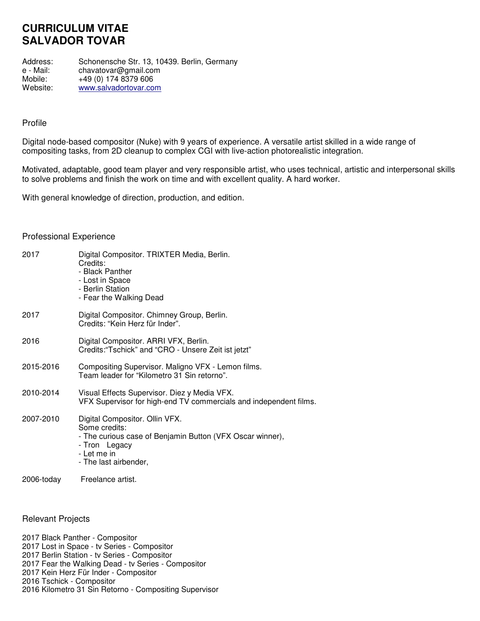# **CURRICULUM VITAE SALVADOR TOVAR**

| Address:  | Schonensche Str. 13, 10439. Berlin, Germany |
|-----------|---------------------------------------------|
| e - Mail: | chavatovar@gmail.com                        |
| Mobile:   | +49 (0) 174 8379 606                        |
| Website:  | www.salvadortovar.com                       |

## Profile

Digital node-based compositor (Nuke) with 9 years of experience. A versatile artist skilled in a wide range of compositing tasks, from 2D cleanup to complex CGI with live-action photorealistic integration.

Motivated, adaptable, good team player and very responsible artist, who uses technical, artistic and interpersonal skills to solve problems and finish the work on time and with excellent quality. A hard worker.

With general knowledge of direction, production, and edition.

### Professional Experience

| 2017       | Digital Compositor. TRIXTER Media, Berlin.<br>Credits:<br>- Black Panther<br>- Lost in Space<br>- Berlin Station<br>- Fear the Walking Dead                           |
|------------|-----------------------------------------------------------------------------------------------------------------------------------------------------------------------|
| 2017       | Digital Compositor. Chimney Group, Berlin.<br>Credits: "Kein Herz für Inder".                                                                                         |
| 2016       | Digital Compositor. ARRI VFX, Berlin.<br>Credits:"Tschick" and "CRO - Unsere Zeit ist jetzt"                                                                          |
| 2015-2016  | Compositing Supervisor. Maligno VFX - Lemon films.<br>Team leader for "Kilometro 31 Sin retorno".                                                                     |
| 2010-2014  | Visual Effects Supervisor. Diez y Media VFX.<br>VFX Supervisor for high-end TV commercials and independent films.                                                     |
| 2007-2010  | Digital Compositor. Ollin VFX.<br>Some credits:<br>- The curious case of Benjamin Button (VFX Oscar winner),<br>- Tron Legacy<br>- Let me in<br>- The last airbender, |
| 2006-today | Freelance artist.                                                                                                                                                     |

Relevant Projects

2017 Black Panther - Compositor 2017 Lost in Space - tv Series - Compositor 2017 Berlin Station - tv Series - Compositor 2017 Fear the Walking Dead - tv Series - Compositor 2017 Kein Herz Für Inder - Compositor 2016 Tschick - Compositor 2016 Kilometro 31 Sin Retorno - Compositing Supervisor